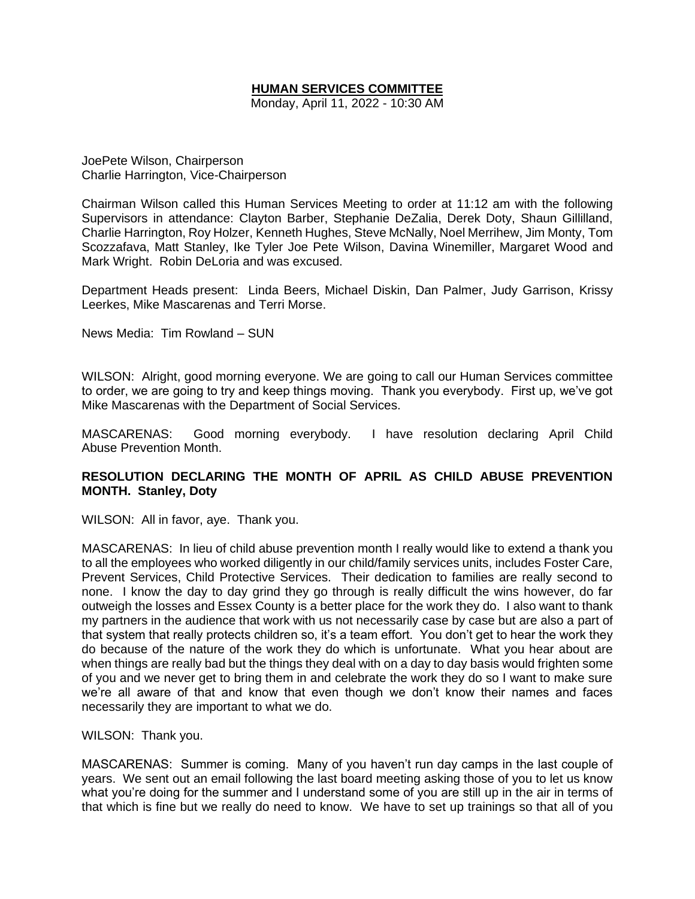# **HUMAN SERVICES COMMITTEE**

Monday, April 11, 2022 - 10:30 AM

JoePete Wilson, Chairperson Charlie Harrington, Vice-Chairperson

Chairman Wilson called this Human Services Meeting to order at 11:12 am with the following Supervisors in attendance: Clayton Barber, Stephanie DeZalia, Derek Doty, Shaun Gillilland, Charlie Harrington, Roy Holzer, Kenneth Hughes, Steve McNally, Noel Merrihew, Jim Monty, Tom Scozzafava, Matt Stanley, Ike Tyler Joe Pete Wilson, Davina Winemiller, Margaret Wood and Mark Wright. Robin DeLoria and was excused.

Department Heads present: Linda Beers, Michael Diskin, Dan Palmer, Judy Garrison, Krissy Leerkes, Mike Mascarenas and Terri Morse.

News Media: Tim Rowland – SUN

WILSON: Alright, good morning everyone. We are going to call our Human Services committee to order, we are going to try and keep things moving. Thank you everybody. First up, we've got Mike Mascarenas with the Department of Social Services.

MASCARENAS: Good morning everybody. I have resolution declaring April Child Abuse Prevention Month.

# **RESOLUTION DECLARING THE MONTH OF APRIL AS CHILD ABUSE PREVENTION MONTH. Stanley, Doty**

WILSON: All in favor, aye. Thank you.

MASCARENAS: In lieu of child abuse prevention month I really would like to extend a thank you to all the employees who worked diligently in our child/family services units, includes Foster Care, Prevent Services, Child Protective Services. Their dedication to families are really second to none. I know the day to day grind they go through is really difficult the wins however, do far outweigh the losses and Essex County is a better place for the work they do. I also want to thank my partners in the audience that work with us not necessarily case by case but are also a part of that system that really protects children so, it's a team effort. You don't get to hear the work they do because of the nature of the work they do which is unfortunate. What you hear about are when things are really bad but the things they deal with on a day to day basis would frighten some of you and we never get to bring them in and celebrate the work they do so I want to make sure we're all aware of that and know that even though we don't know their names and faces necessarily they are important to what we do.

WILSON: Thank you.

MASCARENAS: Summer is coming. Many of you haven't run day camps in the last couple of years. We sent out an email following the last board meeting asking those of you to let us know what you're doing for the summer and I understand some of you are still up in the air in terms of that which is fine but we really do need to know. We have to set up trainings so that all of you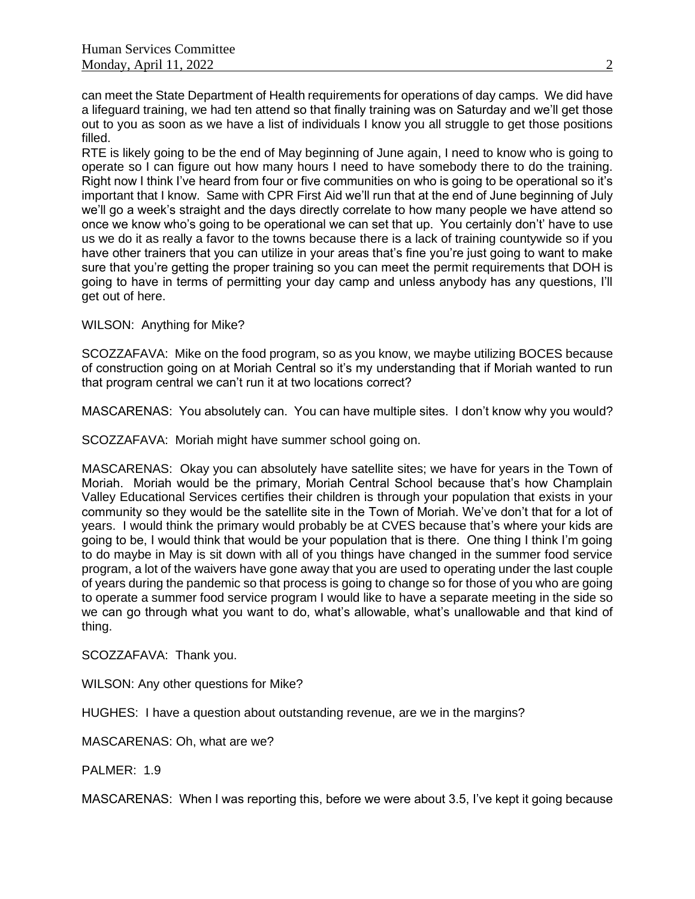can meet the State Department of Health requirements for operations of day camps. We did have a lifeguard training, we had ten attend so that finally training was on Saturday and we'll get those out to you as soon as we have a list of individuals I know you all struggle to get those positions filled.

RTE is likely going to be the end of May beginning of June again, I need to know who is going to operate so I can figure out how many hours I need to have somebody there to do the training. Right now I think I've heard from four or five communities on who is going to be operational so it's important that I know. Same with CPR First Aid we'll run that at the end of June beginning of July we'll go a week's straight and the days directly correlate to how many people we have attend so once we know who's going to be operational we can set that up. You certainly don't' have to use us we do it as really a favor to the towns because there is a lack of training countywide so if you have other trainers that you can utilize in your areas that's fine you're just going to want to make sure that you're getting the proper training so you can meet the permit requirements that DOH is going to have in terms of permitting your day camp and unless anybody has any questions, I'll get out of here.

WILSON: Anything for Mike?

SCOZZAFAVA: Mike on the food program, so as you know, we maybe utilizing BOCES because of construction going on at Moriah Central so it's my understanding that if Moriah wanted to run that program central we can't run it at two locations correct?

MASCARENAS: You absolutely can. You can have multiple sites. I don't know why you would?

SCOZZAFAVA: Moriah might have summer school going on.

MASCARENAS: Okay you can absolutely have satellite sites; we have for years in the Town of Moriah. Moriah would be the primary, Moriah Central School because that's how Champlain Valley Educational Services certifies their children is through your population that exists in your community so they would be the satellite site in the Town of Moriah. We've don't that for a lot of years. I would think the primary would probably be at CVES because that's where your kids are going to be, I would think that would be your population that is there. One thing I think I'm going to do maybe in May is sit down with all of you things have changed in the summer food service program, a lot of the waivers have gone away that you are used to operating under the last couple of years during the pandemic so that process is going to change so for those of you who are going to operate a summer food service program I would like to have a separate meeting in the side so we can go through what you want to do, what's allowable, what's unallowable and that kind of thing.

SCOZZAFAVA: Thank you.

WILSON: Any other questions for Mike?

HUGHES: I have a question about outstanding revenue, are we in the margins?

MASCARENAS: Oh, what are we?

PALMER: 1.9

MASCARENAS: When I was reporting this, before we were about 3.5, I've kept it going because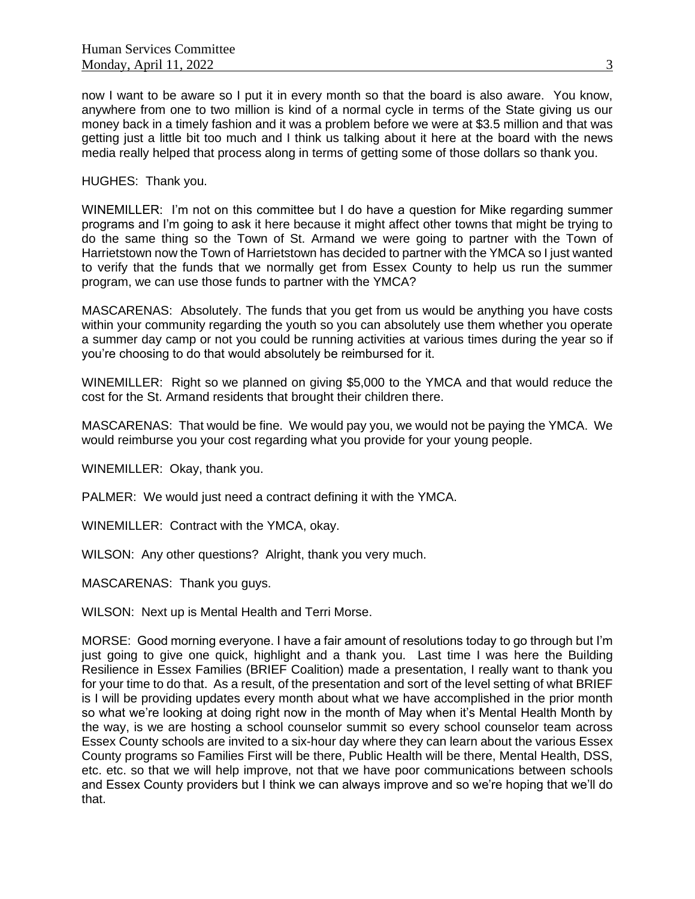now I want to be aware so I put it in every month so that the board is also aware. You know, anywhere from one to two million is kind of a normal cycle in terms of the State giving us our money back in a timely fashion and it was a problem before we were at \$3.5 million and that was getting just a little bit too much and I think us talking about it here at the board with the news media really helped that process along in terms of getting some of those dollars so thank you.

HUGHES: Thank you.

WINEMILLER: I'm not on this committee but I do have a question for Mike regarding summer programs and I'm going to ask it here because it might affect other towns that might be trying to do the same thing so the Town of St. Armand we were going to partner with the Town of Harrietstown now the Town of Harrietstown has decided to partner with the YMCA so I just wanted to verify that the funds that we normally get from Essex County to help us run the summer program, we can use those funds to partner with the YMCA?

MASCARENAS: Absolutely. The funds that you get from us would be anything you have costs within your community regarding the youth so you can absolutely use them whether you operate a summer day camp or not you could be running activities at various times during the year so if you're choosing to do that would absolutely be reimbursed for it.

WINEMILLER: Right so we planned on giving \$5,000 to the YMCA and that would reduce the cost for the St. Armand residents that brought their children there.

MASCARENAS: That would be fine. We would pay you, we would not be paying the YMCA. We would reimburse you your cost regarding what you provide for your young people.

WINEMILLER: Okay, thank you.

PALMER: We would just need a contract defining it with the YMCA.

WINEMILLER: Contract with the YMCA, okay.

WILSON: Any other questions? Alright, thank you very much.

MASCARENAS: Thank you guys.

WILSON: Next up is Mental Health and Terri Morse.

MORSE: Good morning everyone. I have a fair amount of resolutions today to go through but I'm just going to give one quick, highlight and a thank you. Last time I was here the Building Resilience in Essex Families (BRIEF Coalition) made a presentation, I really want to thank you for your time to do that. As a result, of the presentation and sort of the level setting of what BRIEF is I will be providing updates every month about what we have accomplished in the prior month so what we're looking at doing right now in the month of May when it's Mental Health Month by the way, is we are hosting a school counselor summit so every school counselor team across Essex County schools are invited to a six-hour day where they can learn about the various Essex County programs so Families First will be there, Public Health will be there, Mental Health, DSS, etc. etc. so that we will help improve, not that we have poor communications between schools and Essex County providers but I think we can always improve and so we're hoping that we'll do that.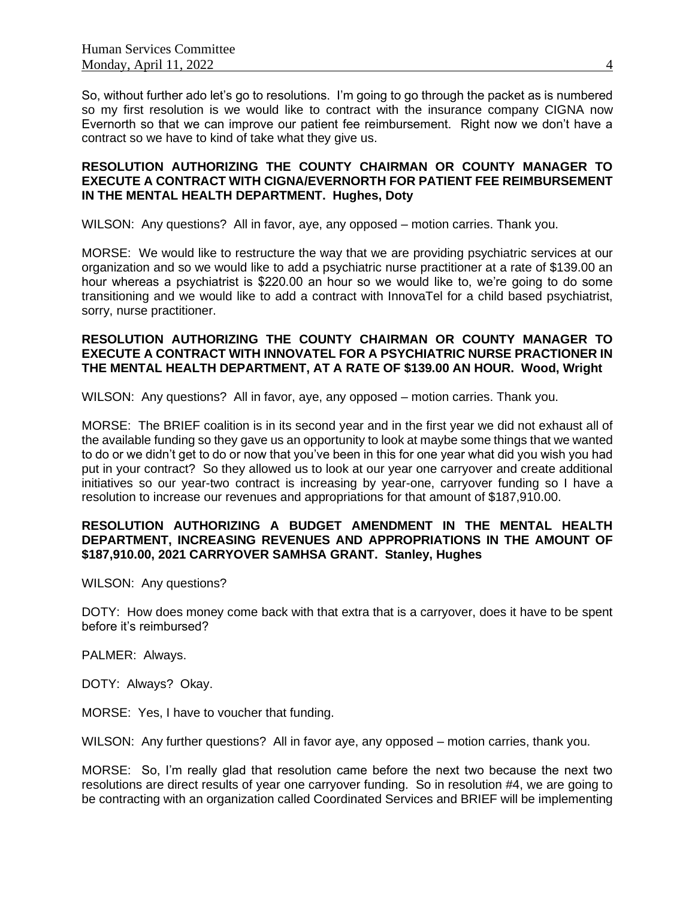So, without further ado let's go to resolutions. I'm going to go through the packet as is numbered so my first resolution is we would like to contract with the insurance company CIGNA now Evernorth so that we can improve our patient fee reimbursement. Right now we don't have a contract so we have to kind of take what they give us.

## **RESOLUTION AUTHORIZING THE COUNTY CHAIRMAN OR COUNTY MANAGER TO EXECUTE A CONTRACT WITH CIGNA/EVERNORTH FOR PATIENT FEE REIMBURSEMENT IN THE MENTAL HEALTH DEPARTMENT. Hughes, Doty**

WILSON: Any questions? All in favor, aye, any opposed – motion carries. Thank you.

MORSE: We would like to restructure the way that we are providing psychiatric services at our organization and so we would like to add a psychiatric nurse practitioner at a rate of \$139.00 an hour whereas a psychiatrist is \$220.00 an hour so we would like to, we're going to do some transitioning and we would like to add a contract with InnovaTel for a child based psychiatrist, sorry, nurse practitioner.

## **RESOLUTION AUTHORIZING THE COUNTY CHAIRMAN OR COUNTY MANAGER TO EXECUTE A CONTRACT WITH INNOVATEL FOR A PSYCHIATRIC NURSE PRACTIONER IN THE MENTAL HEALTH DEPARTMENT, AT A RATE OF \$139.00 AN HOUR. Wood, Wright**

WILSON: Any questions? All in favor, aye, any opposed – motion carries. Thank you.

MORSE: The BRIEF coalition is in its second year and in the first year we did not exhaust all of the available funding so they gave us an opportunity to look at maybe some things that we wanted to do or we didn't get to do or now that you've been in this for one year what did you wish you had put in your contract? So they allowed us to look at our year one carryover and create additional initiatives so our year-two contract is increasing by year-one, carryover funding so I have a resolution to increase our revenues and appropriations for that amount of \$187,910.00.

## **RESOLUTION AUTHORIZING A BUDGET AMENDMENT IN THE MENTAL HEALTH DEPARTMENT, INCREASING REVENUES AND APPROPRIATIONS IN THE AMOUNT OF \$187,910.00, 2021 CARRYOVER SAMHSA GRANT. Stanley, Hughes**

WILSON: Any questions?

DOTY: How does money come back with that extra that is a carryover, does it have to be spent before it's reimbursed?

PALMER: Always.

DOTY: Always? Okay.

MORSE: Yes, I have to voucher that funding.

WILSON: Any further questions? All in favor aye, any opposed – motion carries, thank you.

MORSE: So, I'm really glad that resolution came before the next two because the next two resolutions are direct results of year one carryover funding. So in resolution #4, we are going to be contracting with an organization called Coordinated Services and BRIEF will be implementing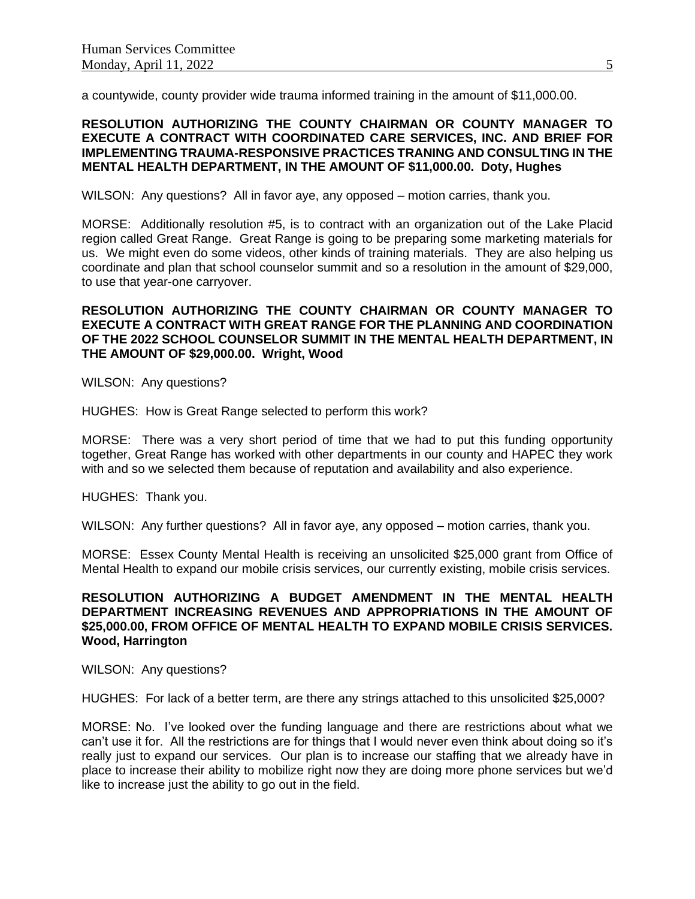a countywide, county provider wide trauma informed training in the amount of \$11,000.00.

#### **RESOLUTION AUTHORIZING THE COUNTY CHAIRMAN OR COUNTY MANAGER TO EXECUTE A CONTRACT WITH COORDINATED CARE SERVICES, INC. AND BRIEF FOR IMPLEMENTING TRAUMA-RESPONSIVE PRACTICES TRANING AND CONSULTING IN THE MENTAL HEALTH DEPARTMENT, IN THE AMOUNT OF \$11,000.00. Doty, Hughes**

WILSON: Any questions? All in favor aye, any opposed – motion carries, thank you.

MORSE: Additionally resolution #5, is to contract with an organization out of the Lake Placid region called Great Range. Great Range is going to be preparing some marketing materials for us. We might even do some videos, other kinds of training materials. They are also helping us coordinate and plan that school counselor summit and so a resolution in the amount of \$29,000, to use that year-one carryover.

### **RESOLUTION AUTHORIZING THE COUNTY CHAIRMAN OR COUNTY MANAGER TO EXECUTE A CONTRACT WITH GREAT RANGE FOR THE PLANNING AND COORDINATION OF THE 2022 SCHOOL COUNSELOR SUMMIT IN THE MENTAL HEALTH DEPARTMENT, IN THE AMOUNT OF \$29,000.00. Wright, Wood**

WILSON: Any questions?

HUGHES: How is Great Range selected to perform this work?

MORSE: There was a very short period of time that we had to put this funding opportunity together, Great Range has worked with other departments in our county and HAPEC they work with and so we selected them because of reputation and availability and also experience.

HUGHES: Thank you.

WILSON: Any further questions? All in favor aye, any opposed – motion carries, thank you.

MORSE: Essex County Mental Health is receiving an unsolicited \$25,000 grant from Office of Mental Health to expand our mobile crisis services, our currently existing, mobile crisis services.

## **RESOLUTION AUTHORIZING A BUDGET AMENDMENT IN THE MENTAL HEALTH DEPARTMENT INCREASING REVENUES AND APPROPRIATIONS IN THE AMOUNT OF \$25,000.00, FROM OFFICE OF MENTAL HEALTH TO EXPAND MOBILE CRISIS SERVICES. Wood, Harrington**

WILSON: Any questions?

HUGHES: For lack of a better term, are there any strings attached to this unsolicited \$25,000?

MORSE: No. I've looked over the funding language and there are restrictions about what we can't use it for. All the restrictions are for things that I would never even think about doing so it's really just to expand our services. Our plan is to increase our staffing that we already have in place to increase their ability to mobilize right now they are doing more phone services but we'd like to increase just the ability to go out in the field.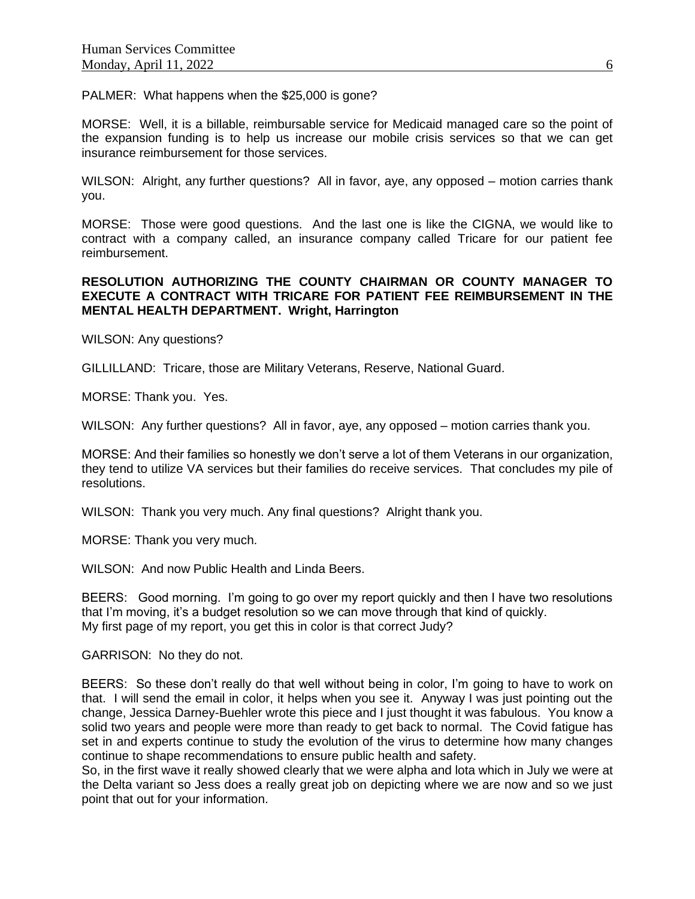PALMER: What happens when the \$25,000 is gone?

MORSE: Well, it is a billable, reimbursable service for Medicaid managed care so the point of the expansion funding is to help us increase our mobile crisis services so that we can get insurance reimbursement for those services.

WILSON: Alright, any further questions? All in favor, aye, any opposed – motion carries thank you.

MORSE: Those were good questions. And the last one is like the CIGNA, we would like to contract with a company called, an insurance company called Tricare for our patient fee reimbursement.

### **RESOLUTION AUTHORIZING THE COUNTY CHAIRMAN OR COUNTY MANAGER TO EXECUTE A CONTRACT WITH TRICARE FOR PATIENT FEE REIMBURSEMENT IN THE MENTAL HEALTH DEPARTMENT. Wright, Harrington**

WILSON: Any questions?

GILLILLAND: Tricare, those are Military Veterans, Reserve, National Guard.

MORSE: Thank you. Yes.

WILSON: Any further questions? All in favor, aye, any opposed – motion carries thank you.

MORSE: And their families so honestly we don't serve a lot of them Veterans in our organization, they tend to utilize VA services but their families do receive services. That concludes my pile of resolutions.

WILSON: Thank you very much. Any final questions? Alright thank you.

MORSE: Thank you very much.

WILSON: And now Public Health and Linda Beers.

BEERS: Good morning. I'm going to go over my report quickly and then I have two resolutions that I'm moving, it's a budget resolution so we can move through that kind of quickly. My first page of my report, you get this in color is that correct Judy?

GARRISON: No they do not.

BEERS: So these don't really do that well without being in color, I'm going to have to work on that. I will send the email in color, it helps when you see it. Anyway I was just pointing out the change, Jessica Darney-Buehler wrote this piece and I just thought it was fabulous. You know a solid two years and people were more than ready to get back to normal. The Covid fatigue has set in and experts continue to study the evolution of the virus to determine how many changes continue to shape recommendations to ensure public health and safety.

So, in the first wave it really showed clearly that we were alpha and lota which in July we were at the Delta variant so Jess does a really great job on depicting where we are now and so we just point that out for your information.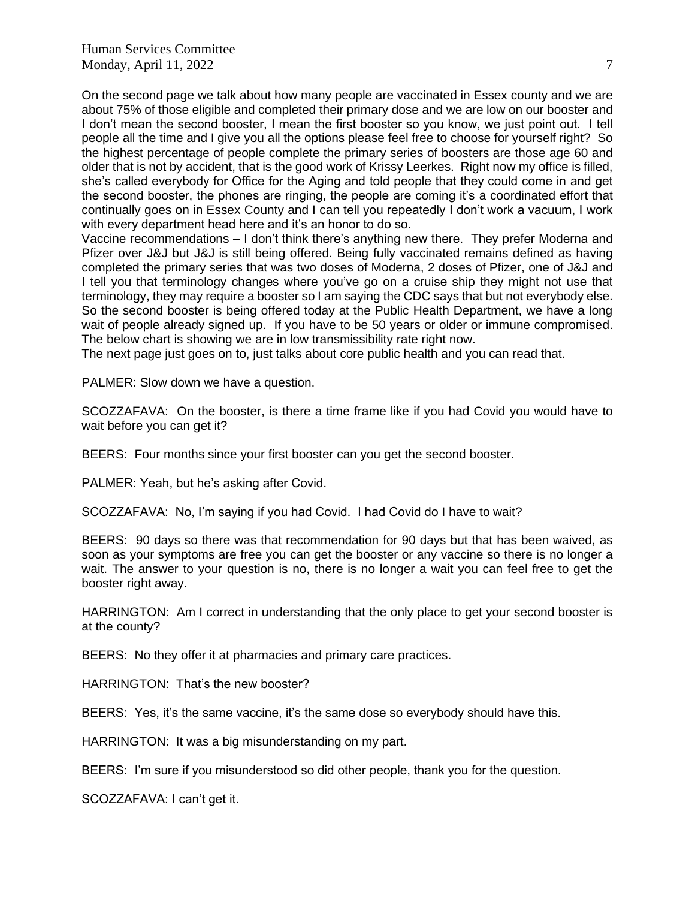On the second page we talk about how many people are vaccinated in Essex county and we are about 75% of those eligible and completed their primary dose and we are low on our booster and I don't mean the second booster, I mean the first booster so you know, we just point out. I tell people all the time and I give you all the options please feel free to choose for yourself right? So the highest percentage of people complete the primary series of boosters are those age 60 and older that is not by accident, that is the good work of Krissy Leerkes. Right now my office is filled, she's called everybody for Office for the Aging and told people that they could come in and get the second booster, the phones are ringing, the people are coming it's a coordinated effort that continually goes on in Essex County and I can tell you repeatedly I don't work a vacuum, I work with every department head here and it's an honor to do so.

Vaccine recommendations – I don't think there's anything new there. They prefer Moderna and Pfizer over J&J but J&J is still being offered. Being fully vaccinated remains defined as having completed the primary series that was two doses of Moderna, 2 doses of Pfizer, one of J&J and I tell you that terminology changes where you've go on a cruise ship they might not use that terminology, they may require a booster so I am saying the CDC says that but not everybody else. So the second booster is being offered today at the Public Health Department, we have a long wait of people already signed up. If you have to be 50 years or older or immune compromised. The below chart is showing we are in low transmissibility rate right now.

The next page just goes on to, just talks about core public health and you can read that.

PALMER: Slow down we have a question.

SCOZZAFAVA: On the booster, is there a time frame like if you had Covid you would have to wait before you can get it?

BEERS: Four months since your first booster can you get the second booster.

PALMER: Yeah, but he's asking after Covid.

SCOZZAFAVA: No, I'm saying if you had Covid. I had Covid do I have to wait?

BEERS: 90 days so there was that recommendation for 90 days but that has been waived, as soon as your symptoms are free you can get the booster or any vaccine so there is no longer a wait. The answer to your question is no, there is no longer a wait you can feel free to get the booster right away.

HARRINGTON: Am I correct in understanding that the only place to get your second booster is at the county?

BEERS: No they offer it at pharmacies and primary care practices.

HARRINGTON: That's the new booster?

BEERS: Yes, it's the same vaccine, it's the same dose so everybody should have this.

HARRINGTON: It was a big misunderstanding on my part.

BEERS: I'm sure if you misunderstood so did other people, thank you for the question.

SCOZZAFAVA: I can't get it.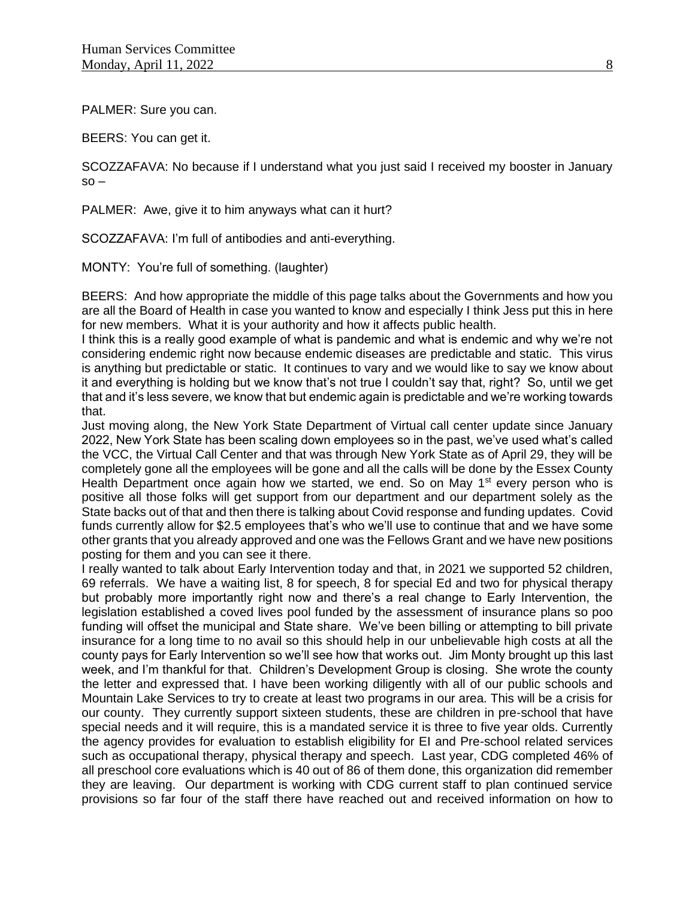PALMER: Sure you can.

BEERS: You can get it.

SCOZZAFAVA: No because if I understand what you just said I received my booster in January  $so -$ 

PALMER: Awe, give it to him anyways what can it hurt?

SCOZZAFAVA: I'm full of antibodies and anti-everything.

MONTY: You're full of something. (laughter)

BEERS: And how appropriate the middle of this page talks about the Governments and how you are all the Board of Health in case you wanted to know and especially I think Jess put this in here for new members. What it is your authority and how it affects public health.

I think this is a really good example of what is pandemic and what is endemic and why we're not considering endemic right now because endemic diseases are predictable and static. This virus is anything but predictable or static. It continues to vary and we would like to say we know about it and everything is holding but we know that's not true I couldn't say that, right? So, until we get that and it's less severe, we know that but endemic again is predictable and we're working towards that.

Just moving along, the New York State Department of Virtual call center update since January 2022, New York State has been scaling down employees so in the past, we've used what's called the VCC, the Virtual Call Center and that was through New York State as of April 29, they will be completely gone all the employees will be gone and all the calls will be done by the Essex County Health Department once again how we started, we end. So on May  $1<sup>st</sup>$  every person who is positive all those folks will get support from our department and our department solely as the State backs out of that and then there is talking about Covid response and funding updates. Covid funds currently allow for \$2.5 employees that's who we'll use to continue that and we have some other grants that you already approved and one was the Fellows Grant and we have new positions posting for them and you can see it there.

I really wanted to talk about Early Intervention today and that, in 2021 we supported 52 children, 69 referrals. We have a waiting list, 8 for speech, 8 for special Ed and two for physical therapy but probably more importantly right now and there's a real change to Early Intervention, the legislation established a coved lives pool funded by the assessment of insurance plans so poo funding will offset the municipal and State share. We've been billing or attempting to bill private insurance for a long time to no avail so this should help in our unbelievable high costs at all the county pays for Early Intervention so we'll see how that works out. Jim Monty brought up this last week, and I'm thankful for that. Children's Development Group is closing. She wrote the county the letter and expressed that. I have been working diligently with all of our public schools and Mountain Lake Services to try to create at least two programs in our area. This will be a crisis for our county. They currently support sixteen students, these are children in pre-school that have special needs and it will require, this is a mandated service it is three to five year olds. Currently the agency provides for evaluation to establish eligibility for EI and Pre-school related services such as occupational therapy, physical therapy and speech. Last year, CDG completed 46% of all preschool core evaluations which is 40 out of 86 of them done, this organization did remember they are leaving. Our department is working with CDG current staff to plan continued service provisions so far four of the staff there have reached out and received information on how to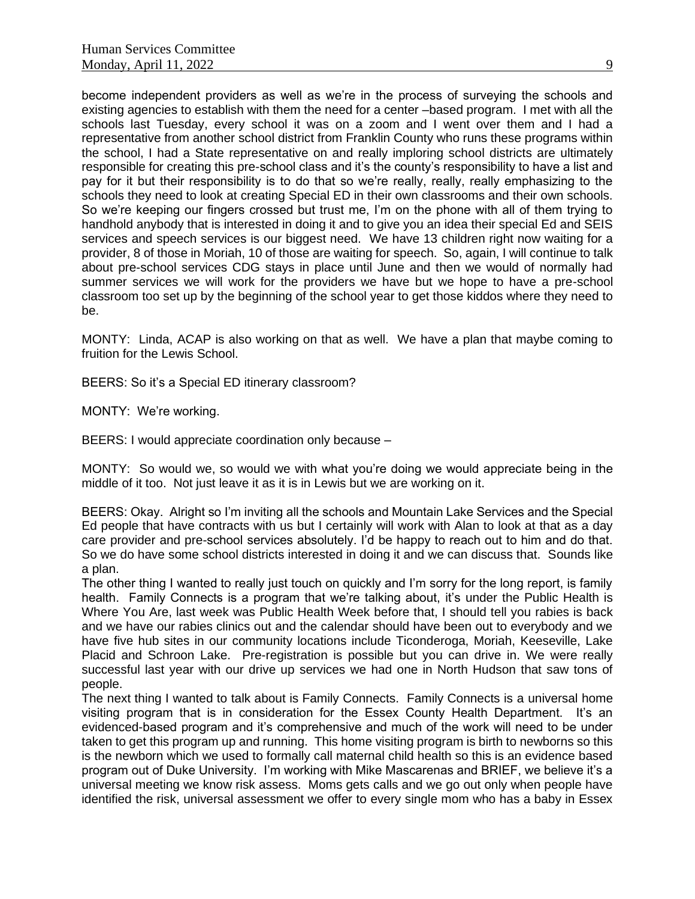become independent providers as well as we're in the process of surveying the schools and existing agencies to establish with them the need for a center –based program. I met with all the schools last Tuesday, every school it was on a zoom and I went over them and I had a representative from another school district from Franklin County who runs these programs within the school, I had a State representative on and really imploring school districts are ultimately responsible for creating this pre-school class and it's the county's responsibility to have a list and pay for it but their responsibility is to do that so we're really, really, really emphasizing to the schools they need to look at creating Special ED in their own classrooms and their own schools. So we're keeping our fingers crossed but trust me, I'm on the phone with all of them trying to handhold anybody that is interested in doing it and to give you an idea their special Ed and SEIS services and speech services is our biggest need. We have 13 children right now waiting for a provider, 8 of those in Moriah, 10 of those are waiting for speech. So, again, I will continue to talk about pre-school services CDG stays in place until June and then we would of normally had summer services we will work for the providers we have but we hope to have a pre-school classroom too set up by the beginning of the school year to get those kiddos where they need to be.

MONTY: Linda, ACAP is also working on that as well. We have a plan that maybe coming to fruition for the Lewis School.

BEERS: So it's a Special ED itinerary classroom?

MONTY: We're working.

BEERS: I would appreciate coordination only because –

MONTY: So would we, so would we with what you're doing we would appreciate being in the middle of it too. Not just leave it as it is in Lewis but we are working on it.

BEERS: Okay. Alright so I'm inviting all the schools and Mountain Lake Services and the Special Ed people that have contracts with us but I certainly will work with Alan to look at that as a day care provider and pre-school services absolutely. I'd be happy to reach out to him and do that. So we do have some school districts interested in doing it and we can discuss that. Sounds like a plan.

The other thing I wanted to really just touch on quickly and I'm sorry for the long report, is family health. Family Connects is a program that we're talking about, it's under the Public Health is Where You Are, last week was Public Health Week before that, I should tell you rabies is back and we have our rabies clinics out and the calendar should have been out to everybody and we have five hub sites in our community locations include Ticonderoga, Moriah, Keeseville, Lake Placid and Schroon Lake. Pre-registration is possible but you can drive in. We were really successful last year with our drive up services we had one in North Hudson that saw tons of people.

The next thing I wanted to talk about is Family Connects. Family Connects is a universal home visiting program that is in consideration for the Essex County Health Department. It's an evidenced-based program and it's comprehensive and much of the work will need to be under taken to get this program up and running. This home visiting program is birth to newborns so this is the newborn which we used to formally call maternal child health so this is an evidence based program out of Duke University. I'm working with Mike Mascarenas and BRIEF, we believe it's a universal meeting we know risk assess. Moms gets calls and we go out only when people have identified the risk, universal assessment we offer to every single mom who has a baby in Essex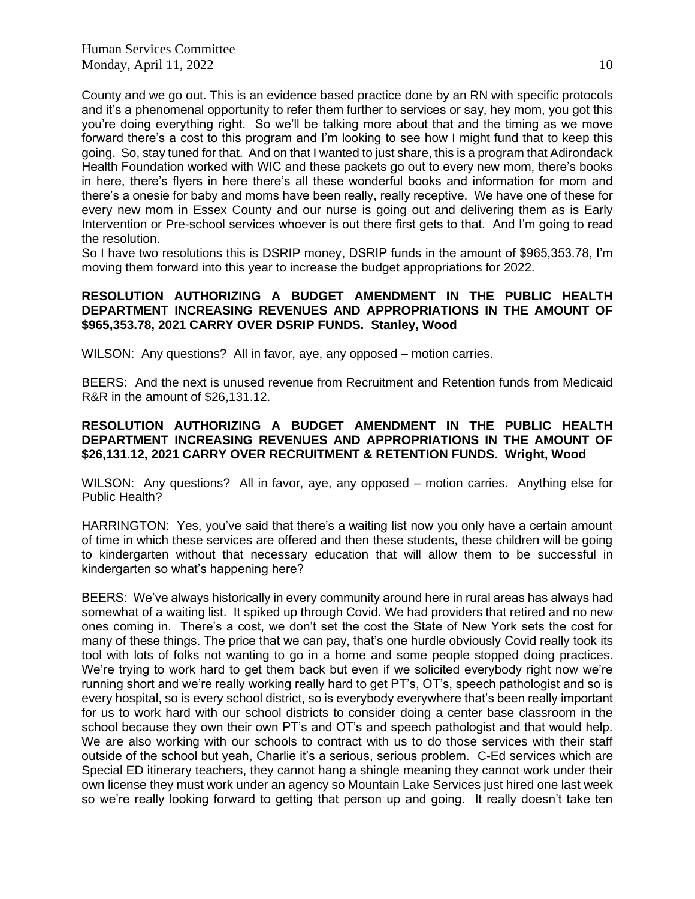County and we go out. This is an evidence based practice done by an RN with specific protocols and it's a phenomenal opportunity to refer them further to services or say, hey mom, you got this you're doing everything right. So we'll be talking more about that and the timing as we move forward there's a cost to this program and I'm looking to see how I might fund that to keep this going. So, stay tuned for that. And on that I wanted to just share, this is a program that Adirondack Health Foundation worked with WIC and these packets go out to every new mom, there's books in here, there's flyers in here there's all these wonderful books and information for mom and there's a onesie for baby and moms have been really, really receptive. We have one of these for every new mom in Essex County and our nurse is going out and delivering them as is Early Intervention or Pre-school services whoever is out there first gets to that. And I'm going to read the resolution.

So I have two resolutions this is DSRIP money, DSRIP funds in the amount of \$965,353.78, I'm moving them forward into this year to increase the budget appropriations for 2022.

### **RESOLUTION AUTHORIZING A BUDGET AMENDMENT IN THE PUBLIC HEALTH DEPARTMENT INCREASING REVENUES AND APPROPRIATIONS IN THE AMOUNT OF \$965,353.78, 2021 CARRY OVER DSRIP FUNDS. Stanley, Wood**

WILSON: Any questions? All in favor, aye, any opposed – motion carries.

BEERS: And the next is unused revenue from Recruitment and Retention funds from Medicaid R&R in the amount of \$26,131.12.

# **RESOLUTION AUTHORIZING A BUDGET AMENDMENT IN THE PUBLIC HEALTH DEPARTMENT INCREASING REVENUES AND APPROPRIATIONS IN THE AMOUNT OF \$26,131.12, 2021 CARRY OVER RECRUITMENT & RETENTION FUNDS. Wright, Wood**

WILSON: Any questions? All in favor, aye, any opposed – motion carries. Anything else for Public Health?

HARRINGTON: Yes, you've said that there's a waiting list now you only have a certain amount of time in which these services are offered and then these students, these children will be going to kindergarten without that necessary education that will allow them to be successful in kindergarten so what's happening here?

BEERS: We've always historically in every community around here in rural areas has always had somewhat of a waiting list. It spiked up through Covid. We had providers that retired and no new ones coming in. There's a cost, we don't set the cost the State of New York sets the cost for many of these things. The price that we can pay, that's one hurdle obviously Covid really took its tool with lots of folks not wanting to go in a home and some people stopped doing practices. We're trying to work hard to get them back but even if we solicited everybody right now we're running short and we're really working really hard to get PT's, OT's, speech pathologist and so is every hospital, so is every school district, so is everybody everywhere that's been really important for us to work hard with our school districts to consider doing a center base classroom in the school because they own their own PT's and OT's and speech pathologist and that would help. We are also working with our schools to contract with us to do those services with their staff outside of the school but yeah, Charlie it's a serious, serious problem. C-Ed services which are Special ED itinerary teachers, they cannot hang a shingle meaning they cannot work under their own license they must work under an agency so Mountain Lake Services just hired one last week so we're really looking forward to getting that person up and going. It really doesn't take ten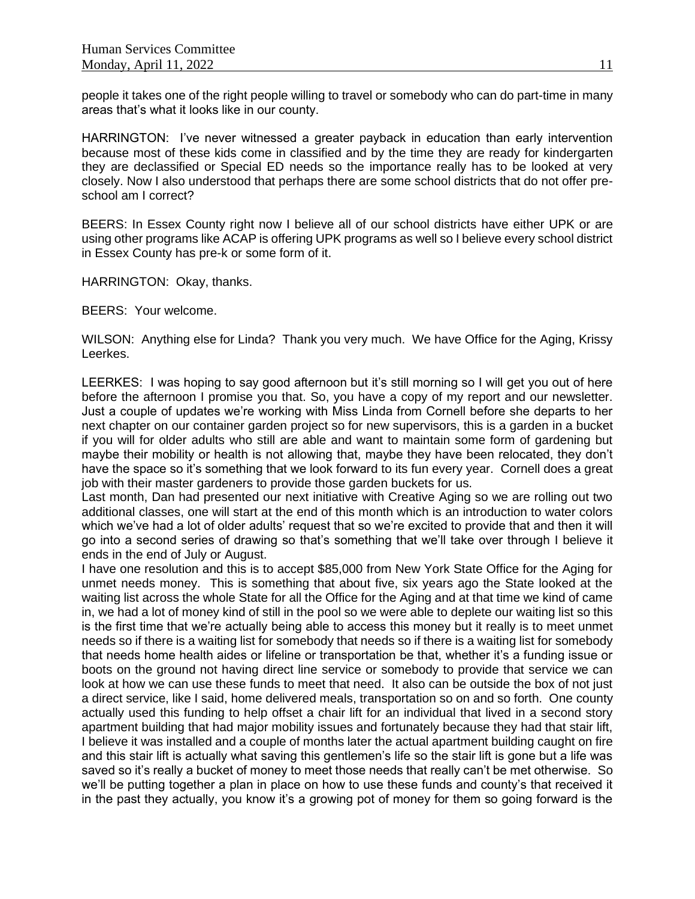people it takes one of the right people willing to travel or somebody who can do part-time in many areas that's what it looks like in our county.

HARRINGTON: I've never witnessed a greater payback in education than early intervention because most of these kids come in classified and by the time they are ready for kindergarten they are declassified or Special ED needs so the importance really has to be looked at very closely. Now I also understood that perhaps there are some school districts that do not offer preschool am I correct?

BEERS: In Essex County right now I believe all of our school districts have either UPK or are using other programs like ACAP is offering UPK programs as well so I believe every school district in Essex County has pre-k or some form of it.

HARRINGTON: Okay, thanks.

BEERS: Your welcome.

WILSON: Anything else for Linda? Thank you very much. We have Office for the Aging, Krissy Leerkes.

LEERKES: I was hoping to say good afternoon but it's still morning so I will get you out of here before the afternoon I promise you that. So, you have a copy of my report and our newsletter. Just a couple of updates we're working with Miss Linda from Cornell before she departs to her next chapter on our container garden project so for new supervisors, this is a garden in a bucket if you will for older adults who still are able and want to maintain some form of gardening but maybe their mobility or health is not allowing that, maybe they have been relocated, they don't have the space so it's something that we look forward to its fun every year. Cornell does a great job with their master gardeners to provide those garden buckets for us.

Last month, Dan had presented our next initiative with Creative Aging so we are rolling out two additional classes, one will start at the end of this month which is an introduction to water colors which we've had a lot of older adults' request that so we're excited to provide that and then it will go into a second series of drawing so that's something that we'll take over through I believe it ends in the end of July or August.

I have one resolution and this is to accept \$85,000 from New York State Office for the Aging for unmet needs money. This is something that about five, six years ago the State looked at the waiting list across the whole State for all the Office for the Aging and at that time we kind of came in, we had a lot of money kind of still in the pool so we were able to deplete our waiting list so this is the first time that we're actually being able to access this money but it really is to meet unmet needs so if there is a waiting list for somebody that needs so if there is a waiting list for somebody that needs home health aides or lifeline or transportation be that, whether it's a funding issue or boots on the ground not having direct line service or somebody to provide that service we can look at how we can use these funds to meet that need. It also can be outside the box of not just a direct service, like I said, home delivered meals, transportation so on and so forth. One county actually used this funding to help offset a chair lift for an individual that lived in a second story apartment building that had major mobility issues and fortunately because they had that stair lift, I believe it was installed and a couple of months later the actual apartment building caught on fire and this stair lift is actually what saving this gentlemen's life so the stair lift is gone but a life was saved so it's really a bucket of money to meet those needs that really can't be met otherwise. So we'll be putting together a plan in place on how to use these funds and county's that received it in the past they actually, you know it's a growing pot of money for them so going forward is the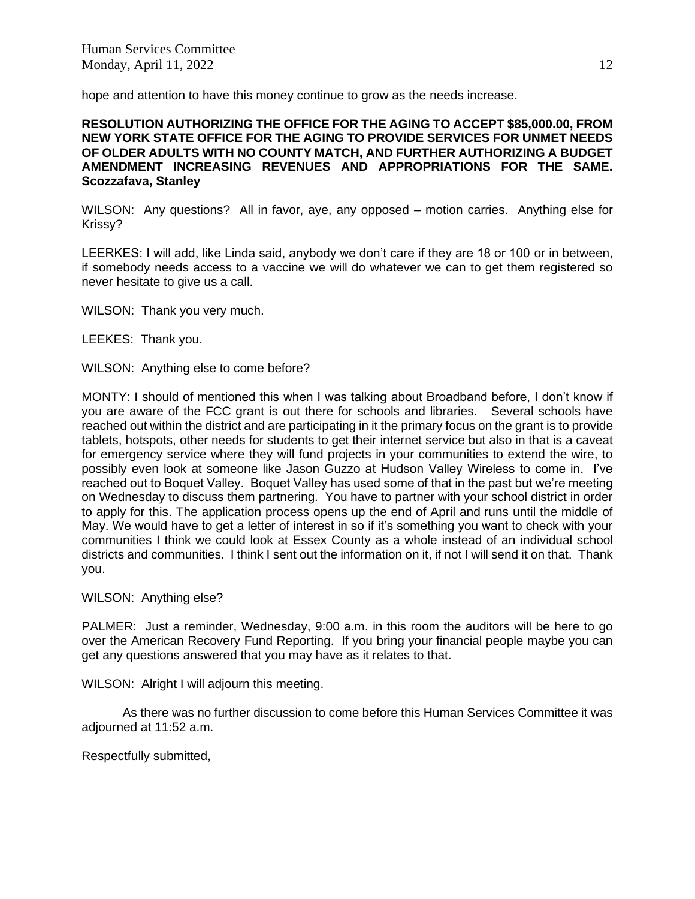hope and attention to have this money continue to grow as the needs increase.

**RESOLUTION AUTHORIZING THE OFFICE FOR THE AGING TO ACCEPT \$85,000.00, FROM NEW YORK STATE OFFICE FOR THE AGING TO PROVIDE SERVICES FOR UNMET NEEDS OF OLDER ADULTS WITH NO COUNTY MATCH, AND FURTHER AUTHORIZING A BUDGET AMENDMENT INCREASING REVENUES AND APPROPRIATIONS FOR THE SAME. Scozzafava, Stanley**

WILSON: Any questions? All in favor, aye, any opposed – motion carries. Anything else for Krissy?

LEERKES: I will add, like Linda said, anybody we don't care if they are 18 or 100 or in between, if somebody needs access to a vaccine we will do whatever we can to get them registered so never hesitate to give us a call.

WILSON: Thank you very much.

LEEKES: Thank you.

WILSON: Anything else to come before?

MONTY: I should of mentioned this when I was talking about Broadband before, I don't know if you are aware of the FCC grant is out there for schools and libraries. Several schools have reached out within the district and are participating in it the primary focus on the grant is to provide tablets, hotspots, other needs for students to get their internet service but also in that is a caveat for emergency service where they will fund projects in your communities to extend the wire, to possibly even look at someone like Jason Guzzo at Hudson Valley Wireless to come in. I've reached out to Boquet Valley. Boquet Valley has used some of that in the past but we're meeting on Wednesday to discuss them partnering. You have to partner with your school district in order to apply for this. The application process opens up the end of April and runs until the middle of May. We would have to get a letter of interest in so if it's something you want to check with your communities I think we could look at Essex County as a whole instead of an individual school districts and communities. I think I sent out the information on it, if not I will send it on that. Thank you.

WILSON: Anything else?

PALMER: Just a reminder, Wednesday, 9:00 a.m. in this room the auditors will be here to go over the American Recovery Fund Reporting. If you bring your financial people maybe you can get any questions answered that you may have as it relates to that.

WILSON: Alright I will adjourn this meeting.

As there was no further discussion to come before this Human Services Committee it was adjourned at 11:52 a.m.

Respectfully submitted,